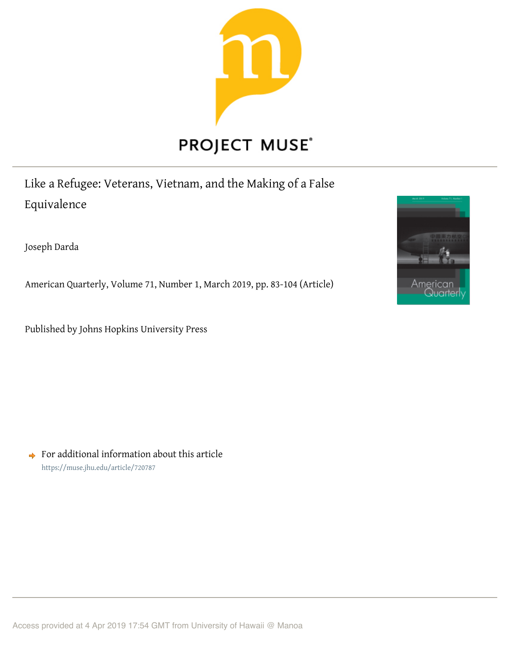

# Like a Refugee: Veterans, Vietnam, and the Making of a False

Equivalence

Joseph Darda

American Quarterly, Volume 71, Number 1, March 2019, pp. 83-104 (Article)

Published by Johns Hopkins University Press



 $\rightarrow$  For additional information about this article https://muse.jhu.edu/article/720787

Access provided at 4 Apr 2019 17:54 GMT from University of Hawaii @ Manoa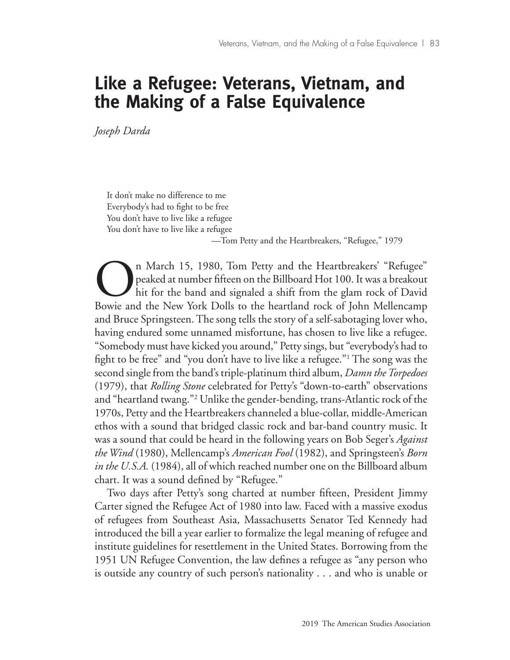## **Like a Refugee: Veterans, Vietnam, and the Making of a False Equivalence**

*Joseph Darda*

It don't make no difference to me Everybody's had to fight to be free You don't have to live like a refugee You don't have to live like a refugee

––Tom Petty and the Heartbreakers, "Refugee," 1979

In March 15, 1980, Tom Petty and the Heartbreakers' "Refugee"<br>peaked at number fifteen on the Billboard Hot 100. It was a breakout<br>hit for the band and signaled a shift from the glam rock of David<br>Bowie and the New York Do peaked at number fifteen on the Billboard Hot 100. It was a breakout hit for the band and signaled a shift from the glam rock of David Bowie and the New York Dolls to the heartland rock of John Mellencamp and Bruce Springsteen. The song tells the story of a self-sabotaging lover who, having endured some unnamed misfortune, has chosen to live like a refugee. "Somebody must have kicked you around," Petty sings, but "everybody's had to fight to be free" and "you don't have to live like a refugee."1 The song was the second single from the band's triple-platinum third album, *Damn the Torpedoes* (1979), that *Rolling Stone* celebrated for Petty's "down-to-earth" observations and "heartland twang."2 Unlike the gender-bending, trans-Atlantic rock of the 1970s, Petty and the Heartbreakers channeled a blue-collar, middle-American ethos with a sound that bridged classic rock and bar-band country music. It was a sound that could be heard in the following years on Bob Seger's *Against the Wind* (1980), Mellencamp's *American Fool* (1982), and Springsteen's *Born in the U.S.A.* (1984), all of which reached number one on the Billboard album chart. It was a sound defined by "Refugee."

Two days after Petty's song charted at number fifteen, President Jimmy Carter signed the Refugee Act of 1980 into law. Faced with a massive exodus of refugees from Southeast Asia, Massachusetts Senator Ted Kennedy had introduced the bill a year earlier to formalize the legal meaning of refugee and institute guidelines for resettlement in the United States. Borrowing from the 1951 UN Refugee Convention, the law defines a refugee as "any person who is outside any country of such person's nationality . . . and who is unable or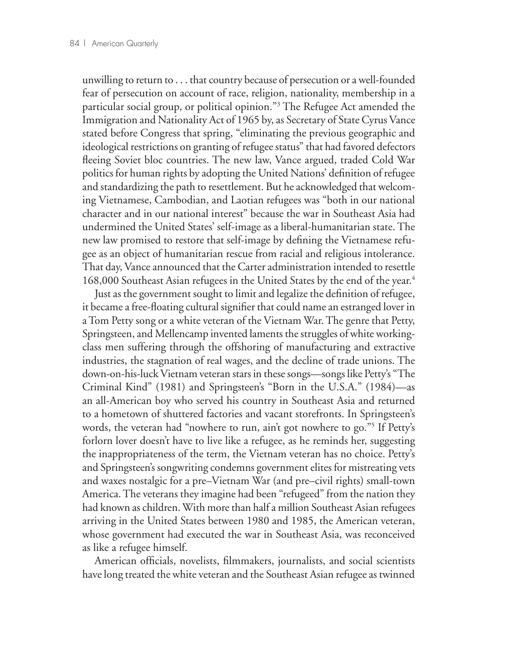unwilling to return to . . . that country because of persecution or a well-founded fear of persecution on account of race, religion, nationality, membership in a particular social group, or political opinion."3 The Refugee Act amended the Immigration and Nationality Act of 1965 by, as Secretary of State Cyrus Vance stated before Congress that spring, "eliminating the previous geographic and ideological restrictions on granting of refugee status" that had favored defectors fleeing Soviet bloc countries. The new law, Vance argued, traded Cold War politics for human rights by adopting the United Nations' definition of refugee and standardizing the path to resettlement. But he acknowledged that welcoming Vietnamese, Cambodian, and Laotian refugees was "both in our national character and in our national interest" because the war in Southeast Asia had undermined the United States' self-image as a liberal-humanitarian state. The new law promised to restore that self-image by defining the Vietnamese refugee as an object of humanitarian rescue from racial and religious intolerance. That day, Vance announced that the Carter administration intended to resettle 168,000 Southeast Asian refugees in the United States by the end of the year.<sup>4</sup>

Just as the government sought to limit and legalize the definition of refugee, it became a free-floating cultural signifier that could name an estranged lover in a Tom Petty song or a white veteran of the Vietnam War. The genre that Petty, Springsteen, and Mellencamp invented laments the struggles of white workingclass men suffering through the offshoring of manufacturing and extractive industries, the stagnation of real wages, and the decline of trade unions. The down-on-his-luck Vietnam veteran stars in these songs—songs like Petty's "The Criminal Kind" (1981) and Springsteen's "Born in the U.S.A." (1984)—as an all-American boy who served his country in Southeast Asia and returned to a hometown of shuttered factories and vacant storefronts. In Springsteen's words, the veteran had "nowhere to run, ain't got nowhere to go."5 If Petty's forlorn lover doesn't have to live like a refugee, as he reminds her, suggesting the inappropriateness of the term, the Vietnam veteran has no choice. Petty's and Springsteen's songwriting condemns government elites for mistreating vets and waxes nostalgic for a pre–Vietnam War (and pre–civil rights) small-town America. The veterans they imagine had been "refugeed" from the nation they had known as children. With more than half a million Southeast Asian refugees arriving in the United States between 1980 and 1985, the American veteran, whose government had executed the war in Southeast Asia, was reconceived as like a refugee himself.

American officials, novelists, filmmakers, journalists, and social scientists have long treated the white veteran and the Southeast Asian refugee as twinned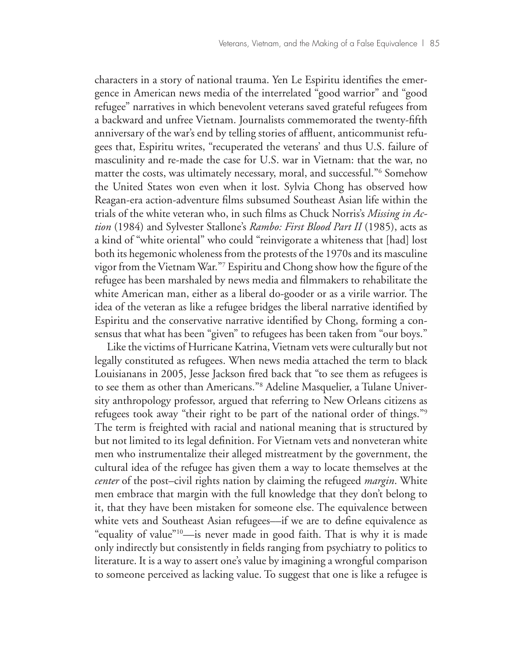characters in a story of national trauma. Yen Le Espiritu identifies the emergence in American news media of the interrelated "good warrior" and "good refugee" narratives in which benevolent veterans saved grateful refugees from a backward and unfree Vietnam. Journalists commemorated the twenty-fifth anniversary of the war's end by telling stories of affluent, anticommunist refugees that, Espiritu writes, "recuperated the veterans' and thus U.S. failure of masculinity and re-made the case for U.S. war in Vietnam: that the war, no matter the costs, was ultimately necessary, moral, and successful."6 Somehow the United States won even when it lost. Sylvia Chong has observed how Reagan-era action-adventure films subsumed Southeast Asian life within the trials of the white veteran who, in such films as Chuck Norris's *Missing in Action* (1984) and Sylvester Stallone's *Rambo: First Blood Part II* (1985), acts as a kind of "white oriental" who could "reinvigorate a whiteness that [had] lost both its hegemonic wholeness from the protests of the 1970s and its masculine vigor from the Vietnam War."7 Espiritu and Chong show how the figure of the refugee has been marshaled by news media and filmmakers to rehabilitate the white American man, either as a liberal do-gooder or as a virile warrior. The idea of the veteran as like a refugee bridges the liberal narrative identified by Espiritu and the conservative narrative identified by Chong, forming a consensus that what has been "given" to refugees has been taken from "our boys."

Like the victims of Hurricane Katrina, Vietnam vets were culturally but not legally constituted as refugees. When news media attached the term to black Louisianans in 2005, Jesse Jackson fired back that "to see them as refugees is to see them as other than Americans."8 Adeline Masquelier, a Tulane University anthropology professor, argued that referring to New Orleans citizens as refugees took away "their right to be part of the national order of things."9 The term is freighted with racial and national meaning that is structured by but not limited to its legal definition. For Vietnam vets and nonveteran white men who instrumentalize their alleged mistreatment by the government, the cultural idea of the refugee has given them a way to locate themselves at the *center* of the post–civil rights nation by claiming the refugeed *margin*. White men embrace that margin with the full knowledge that they don't belong to it, that they have been mistaken for someone else. The equivalence between white vets and Southeast Asian refugees—if we are to define equivalence as "equality of value"10—is never made in good faith. That is why it is made only indirectly but consistently in fields ranging from psychiatry to politics to literature. It is a way to assert one's value by imagining a wrongful comparison to someone perceived as lacking value. To suggest that one is like a refugee is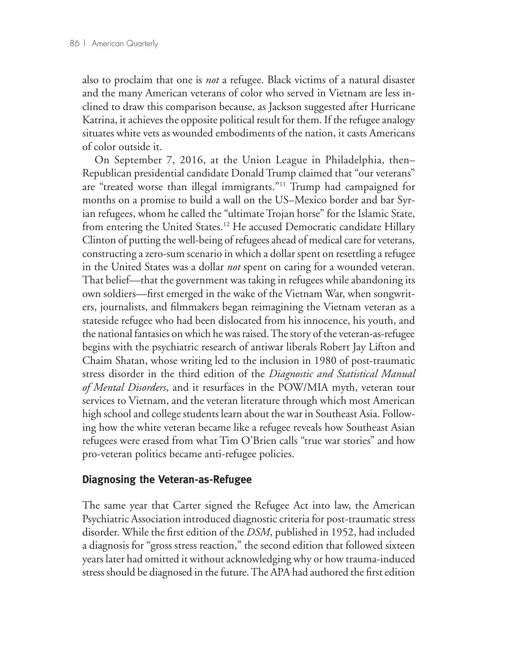also to proclaim that one is *not* a refugee. Black victims of a natural disaster and the many American veterans of color who served in Vietnam are less inclined to draw this comparison because, as Jackson suggested after Hurricane Katrina, it achieves the opposite political result for them. If the refugee analogy situates white vets as wounded embodiments of the nation, it casts Americans of color outside it.

On September 7, 2016, at the Union League in Philadelphia, then– Republican presidential candidate Donald Trump claimed that "our veterans" are "treated worse than illegal immigrants."11 Trump had campaigned for months on a promise to build a wall on the US–Mexico border and bar Syrian refugees, whom he called the "ultimate Trojan horse" for the Islamic State, from entering the United States.12 He accused Democratic candidate Hillary Clinton of putting the well-being of refugees ahead of medical care for veterans, constructing a zero-sum scenario in which a dollar spent on resettling a refugee in the United States was a dollar *not* spent on caring for a wounded veteran. That belief—that the government was taking in refugees while abandoning its own soldiers—first emerged in the wake of the Vietnam War, when songwriters, journalists, and filmmakers began reimagining the Vietnam veteran as a stateside refugee who had been dislocated from his innocence, his youth, and the national fantasies on which he was raised. The story of the veteran-as-refugee begins with the psychiatric research of antiwar liberals Robert Jay Lifton and Chaim Shatan, whose writing led to the inclusion in 1980 of post-traumatic stress disorder in the third edition of the *Diagnostic and Statistical Manual of Mental Disorders*, and it resurfaces in the POW/MIA myth, veteran tour services to Vietnam, and the veteran literature through which most American high school and college students learn about the war in Southeast Asia. Following how the white veteran became like a refugee reveals how Southeast Asian refugees were erased from what Tim O'Brien calls "true war stories" and how pro-veteran politics became anti-refugee policies.

### **Diagnosing the Veteran-as-Refugee**

The same year that Carter signed the Refugee Act into law, the American Psychiatric Association introduced diagnostic criteria for post-traumatic stress disorder. While the first edition of the *DSM*, published in 1952, had included a diagnosis for "gross stress reaction," the second edition that followed sixteen years later had omitted it without acknowledging why or how trauma-induced stress should be diagnosed in the future. The APA had authored the first edition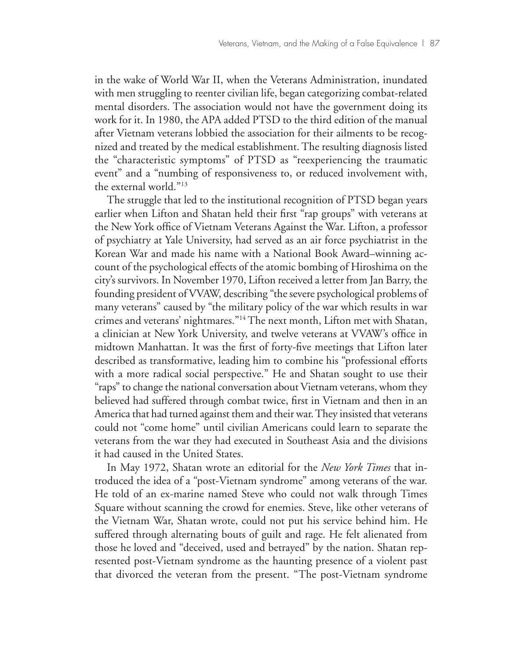in the wake of World War II, when the Veterans Administration, inundated with men struggling to reenter civilian life, began categorizing combat-related mental disorders. The association would not have the government doing its work for it. In 1980, the APA added PTSD to the third edition of the manual after Vietnam veterans lobbied the association for their ailments to be recognized and treated by the medical establishment. The resulting diagnosis listed the "characteristic symptoms" of PTSD as "reexperiencing the traumatic event" and a "numbing of responsiveness to, or reduced involvement with, the external world."13

The struggle that led to the institutional recognition of PTSD began years earlier when Lifton and Shatan held their first "rap groups" with veterans at the New York office of Vietnam Veterans Against the War. Lifton, a professor of psychiatry at Yale University, had served as an air force psychiatrist in the Korean War and made his name with a National Book Award–winning account of the psychological effects of the atomic bombing of Hiroshima on the city's survivors. In November 1970, Lifton received a letter from Jan Barry, the founding president of VVAW, describing "the severe psychological problems of many veterans" caused by "the military policy of the war which results in war crimes and veterans' nightmares."14 The next month, Lifton met with Shatan, a clinician at New York University, and twelve veterans at VVAW's office in midtown Manhattan. It was the first of forty-five meetings that Lifton later described as transformative, leading him to combine his "professional efforts with a more radical social perspective." He and Shatan sought to use their "raps" to change the national conversation about Vietnam veterans, whom they believed had suffered through combat twice, first in Vietnam and then in an America that had turned against them and their war. They insisted that veterans could not "come home" until civilian Americans could learn to separate the veterans from the war they had executed in Southeast Asia and the divisions it had caused in the United States.

In May 1972, Shatan wrote an editorial for the *New York Times* that introduced the idea of a "post-Vietnam syndrome" among veterans of the war. He told of an ex-marine named Steve who could not walk through Times Square without scanning the crowd for enemies. Steve, like other veterans of the Vietnam War, Shatan wrote, could not put his service behind him. He suffered through alternating bouts of guilt and rage. He felt alienated from those he loved and "deceived, used and betrayed" by the nation. Shatan represented post-Vietnam syndrome as the haunting presence of a violent past that divorced the veteran from the present. "The post-Vietnam syndrome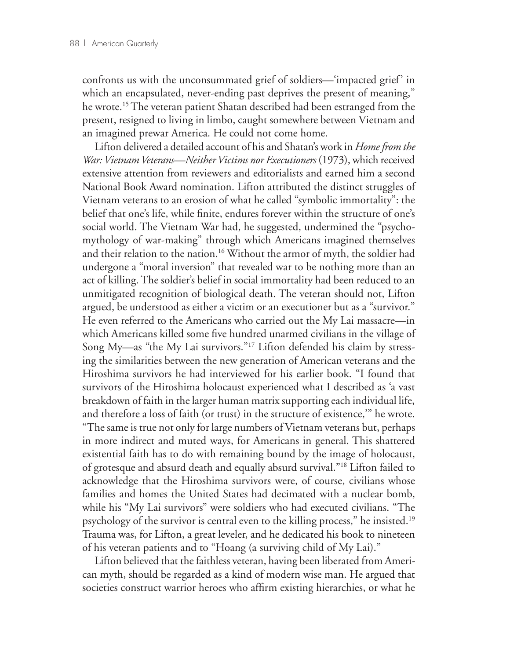confronts us with the unconsummated grief of soldiers—'impacted grief' in which an encapsulated, never-ending past deprives the present of meaning," he wrote.<sup>15</sup> The veteran patient Shatan described had been estranged from the present, resigned to living in limbo, caught somewhere between Vietnam and an imagined prewar America. He could not come home.

Lifton delivered a detailed account of his and Shatan's work in *Home from the War: Vietnam Veterans—Neither Victims nor Executioners* (1973), which received extensive attention from reviewers and editorialists and earned him a second National Book Award nomination. Lifton attributed the distinct struggles of Vietnam veterans to an erosion of what he called "symbolic immortality": the belief that one's life, while finite, endures forever within the structure of one's social world. The Vietnam War had, he suggested, undermined the "psychomythology of war-making" through which Americans imagined themselves and their relation to the nation.16 Without the armor of myth, the soldier had undergone a "moral inversion" that revealed war to be nothing more than an act of killing. The soldier's belief in social immortality had been reduced to an unmitigated recognition of biological death. The veteran should not, Lifton argued, be understood as either a victim or an executioner but as a "survivor." He even referred to the Americans who carried out the My Lai massacre—in which Americans killed some five hundred unarmed civilians in the village of Song My—as "the My Lai survivors."17 Lifton defended his claim by stressing the similarities between the new generation of American veterans and the Hiroshima survivors he had interviewed for his earlier book. "I found that survivors of the Hiroshima holocaust experienced what I described as 'a vast breakdown of faith in the larger human matrix supporting each individual life, and therefore a loss of faith (or trust) in the structure of existence,'" he wrote. "The same is true not only for large numbers of Vietnam veterans but, perhaps in more indirect and muted ways, for Americans in general. This shattered existential faith has to do with remaining bound by the image of holocaust, of grotesque and absurd death and equally absurd survival."18 Lifton failed to acknowledge that the Hiroshima survivors were, of course, civilians whose families and homes the United States had decimated with a nuclear bomb, while his "My Lai survivors" were soldiers who had executed civilians. "The psychology of the survivor is central even to the killing process," he insisted.19 Trauma was, for Lifton, a great leveler, and he dedicated his book to nineteen of his veteran patients and to "Hoang (a surviving child of My Lai)."

Lifton believed that the faithless veteran, having been liberated from American myth, should be regarded as a kind of modern wise man. He argued that societies construct warrior heroes who affirm existing hierarchies, or what he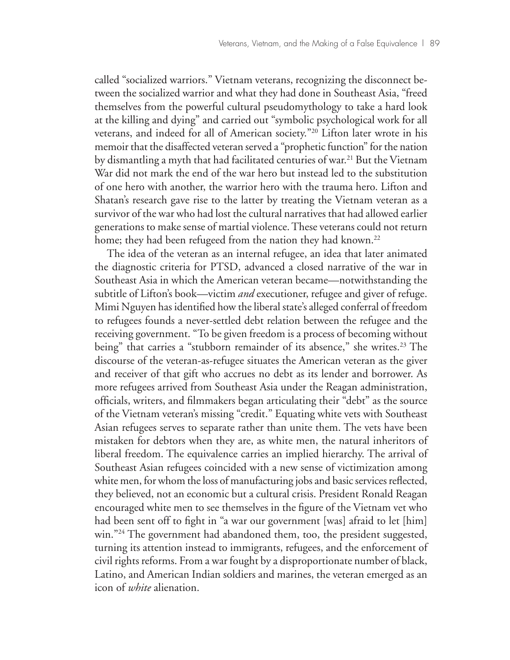called "socialized warriors." Vietnam veterans, recognizing the disconnect between the socialized warrior and what they had done in Southeast Asia, "freed themselves from the powerful cultural pseudomythology to take a hard look at the killing and dying" and carried out "symbolic psychological work for all veterans, and indeed for all of American society."20 Lifton later wrote in his memoir that the disaffected veteran served a "prophetic function" for the nation by dismantling a myth that had facilitated centuries of war.<sup>21</sup> But the Vietnam War did not mark the end of the war hero but instead led to the substitution of one hero with another, the warrior hero with the trauma hero. Lifton and Shatan's research gave rise to the latter by treating the Vietnam veteran as a survivor of the war who had lost the cultural narratives that had allowed earlier generations to make sense of martial violence. These veterans could not return home; they had been refugeed from the nation they had known.<sup>22</sup>

The idea of the veteran as an internal refugee, an idea that later animated the diagnostic criteria for PTSD, advanced a closed narrative of the war in Southeast Asia in which the American veteran became—notwithstanding the subtitle of Lifton's book—victim *and* executioner, refugee and giver of refuge. Mimi Nguyen has identified how the liberal state's alleged conferral of freedom to refugees founds a never-settled debt relation between the refugee and the receiving government. "To be given freedom is a process of becoming without being" that carries a "stubborn remainder of its absence," she writes.<sup>23</sup> The discourse of the veteran-as-refugee situates the American veteran as the giver and receiver of that gift who accrues no debt as its lender and borrower. As more refugees arrived from Southeast Asia under the Reagan administration, officials, writers, and filmmakers began articulating their "debt" as the source of the Vietnam veteran's missing "credit." Equating white vets with Southeast Asian refugees serves to separate rather than unite them. The vets have been mistaken for debtors when they are, as white men, the natural inheritors of liberal freedom. The equivalence carries an implied hierarchy. The arrival of Southeast Asian refugees coincided with a new sense of victimization among white men, for whom the loss of manufacturing jobs and basic services reflected, they believed, not an economic but a cultural crisis. President Ronald Reagan encouraged white men to see themselves in the figure of the Vietnam vet who had been sent off to fight in "a war our government [was] afraid to let [him] win."<sup>24</sup> The government had abandoned them, too, the president suggested, turning its attention instead to immigrants, refugees, and the enforcement of civil rights reforms. From a war fought by a disproportionate number of black, Latino, and American Indian soldiers and marines, the veteran emerged as an icon of *white* alienation.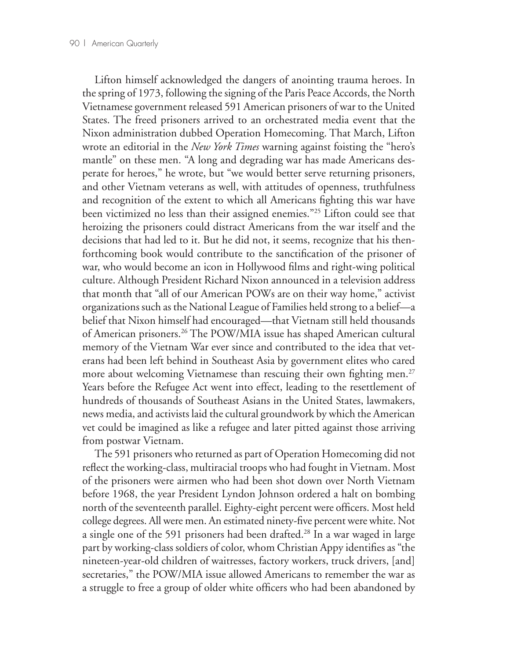Lifton himself acknowledged the dangers of anointing trauma heroes. In the spring of 1973, following the signing of the Paris Peace Accords, the North Vietnamese government released 591 American prisoners of war to the United States. The freed prisoners arrived to an orchestrated media event that the Nixon administration dubbed Operation Homecoming. That March, Lifton wrote an editorial in the *New York Times* warning against foisting the "hero's mantle" on these men. "A long and degrading war has made Americans desperate for heroes," he wrote, but "we would better serve returning prisoners, and other Vietnam veterans as well, with attitudes of openness, truthfulness and recognition of the extent to which all Americans fighting this war have been victimized no less than their assigned enemies."25 Lifton could see that heroizing the prisoners could distract Americans from the war itself and the decisions that had led to it. But he did not, it seems, recognize that his thenforthcoming book would contribute to the sanctification of the prisoner of war, who would become an icon in Hollywood films and right-wing political culture. Although President Richard Nixon announced in a television address that month that "all of our American POWs are on their way home," activist organizations such as the National League of Families held strong to a belief—a belief that Nixon himself had encouraged—that Vietnam still held thousands of American prisoners.26 The POW/MIA issue has shaped American cultural memory of the Vietnam War ever since and contributed to the idea that veterans had been left behind in Southeast Asia by government elites who cared more about welcoming Vietnamese than rescuing their own fighting men.<sup>27</sup> Years before the Refugee Act went into effect, leading to the resettlement of hundreds of thousands of Southeast Asians in the United States, lawmakers, news media, and activists laid the cultural groundwork by which the American vet could be imagined as like a refugee and later pitted against those arriving from postwar Vietnam.

The 591 prisoners who returned as part of Operation Homecoming did not reflect the working-class, multiracial troops who had fought in Vietnam. Most of the prisoners were airmen who had been shot down over North Vietnam before 1968, the year President Lyndon Johnson ordered a halt on bombing north of the seventeenth parallel. Eighty-eight percent were officers. Most held college degrees. All were men. An estimated ninety-five percent were white. Not a single one of the 591 prisoners had been drafted.28 In a war waged in large part by working-class soldiers of color, whom Christian Appy identifies as "the nineteen-year-old children of waitresses, factory workers, truck drivers, [and] secretaries," the POW/MIA issue allowed Americans to remember the war as a struggle to free a group of older white officers who had been abandoned by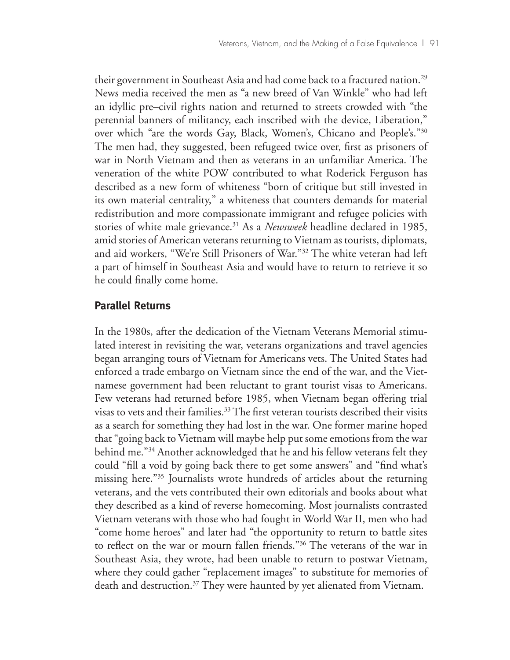their government in Southeast Asia and had come back to a fractured nation.<sup>29</sup> News media received the men as "a new breed of Van Winkle" who had left an idyllic pre–civil rights nation and returned to streets crowded with "the perennial banners of militancy, each inscribed with the device, Liberation," over which "are the words Gay, Black, Women's, Chicano and People's."30 The men had, they suggested, been refugeed twice over, first as prisoners of war in North Vietnam and then as veterans in an unfamiliar America. The veneration of the white POW contributed to what Roderick Ferguson has described as a new form of whiteness "born of critique but still invested in its own material centrality," a whiteness that counters demands for material redistribution and more compassionate immigrant and refugee policies with stories of white male grievance.<sup>31</sup> As a *Newsweek* headline declared in 1985, amid stories of American veterans returning to Vietnam as tourists, diplomats, and aid workers, "We're Still Prisoners of War."32 The white veteran had left a part of himself in Southeast Asia and would have to return to retrieve it so he could finally come home.

### **Parallel Returns**

In the 1980s, after the dedication of the Vietnam Veterans Memorial stimulated interest in revisiting the war, veterans organizations and travel agencies began arranging tours of Vietnam for Americans vets. The United States had enforced a trade embargo on Vietnam since the end of the war, and the Vietnamese government had been reluctant to grant tourist visas to Americans. Few veterans had returned before 1985, when Vietnam began offering trial visas to vets and their families.<sup>33</sup> The first veteran tourists described their visits as a search for something they had lost in the war. One former marine hoped that "going back to Vietnam will maybe help put some emotions from the war behind me."<sup>34</sup> Another acknowledged that he and his fellow veterans felt they could "fill a void by going back there to get some answers" and "find what's missing here."35 Journalists wrote hundreds of articles about the returning veterans, and the vets contributed their own editorials and books about what they described as a kind of reverse homecoming. Most journalists contrasted Vietnam veterans with those who had fought in World War II, men who had "come home heroes" and later had "the opportunity to return to battle sites to reflect on the war or mourn fallen friends."36 The veterans of the war in Southeast Asia, they wrote, had been unable to return to postwar Vietnam, where they could gather "replacement images" to substitute for memories of death and destruction.<sup>37</sup> They were haunted by yet alienated from Vietnam.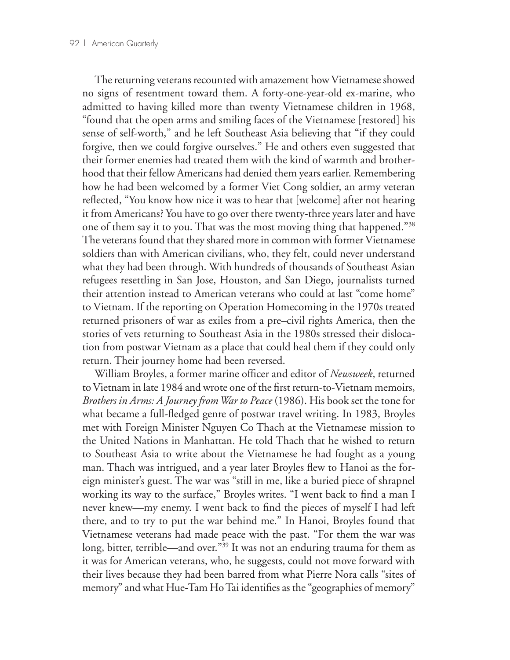The returning veterans recounted with amazement how Vietnamese showed no signs of resentment toward them. A forty-one-year-old ex-marine, who admitted to having killed more than twenty Vietnamese children in 1968, "found that the open arms and smiling faces of the Vietnamese [restored] his sense of self-worth," and he left Southeast Asia believing that "if they could forgive, then we could forgive ourselves." He and others even suggested that their former enemies had treated them with the kind of warmth and brotherhood that their fellow Americans had denied them years earlier. Remembering how he had been welcomed by a former Viet Cong soldier, an army veteran reflected, "You know how nice it was to hear that [welcome] after not hearing it from Americans? You have to go over there twenty-three years later and have one of them say it to you. That was the most moving thing that happened."<sup>38</sup> The veterans found that they shared more in common with former Vietnamese soldiers than with American civilians, who, they felt, could never understand what they had been through. With hundreds of thousands of Southeast Asian refugees resettling in San Jose, Houston, and San Diego, journalists turned their attention instead to American veterans who could at last "come home" to Vietnam. If the reporting on Operation Homecoming in the 1970s treated returned prisoners of war as exiles from a pre–civil rights America, then the stories of vets returning to Southeast Asia in the 1980s stressed their dislocation from postwar Vietnam as a place that could heal them if they could only return. Their journey home had been reversed.

William Broyles, a former marine officer and editor of *Newsweek*, returned to Vietnam in late 1984 and wrote one of the first return-to-Vietnam memoirs, *Brothers in Arms: A Journey from War to Peace* (1986). His book set the tone for what became a full-fledged genre of postwar travel writing. In 1983, Broyles met with Foreign Minister Nguyen Co Thach at the Vietnamese mission to the United Nations in Manhattan. He told Thach that he wished to return to Southeast Asia to write about the Vietnamese he had fought as a young man. Thach was intrigued, and a year later Broyles flew to Hanoi as the foreign minister's guest. The war was "still in me, like a buried piece of shrapnel working its way to the surface," Broyles writes. "I went back to find a man I never knew—my enemy. I went back to find the pieces of myself I had left there, and to try to put the war behind me." In Hanoi, Broyles found that Vietnamese veterans had made peace with the past. "For them the war was long, bitter, terrible—and over."<sup>39</sup> It was not an enduring trauma for them as it was for American veterans, who, he suggests, could not move forward with their lives because they had been barred from what Pierre Nora calls "sites of memory" and what Hue-Tam Ho Tai identifies as the "geographies of memory"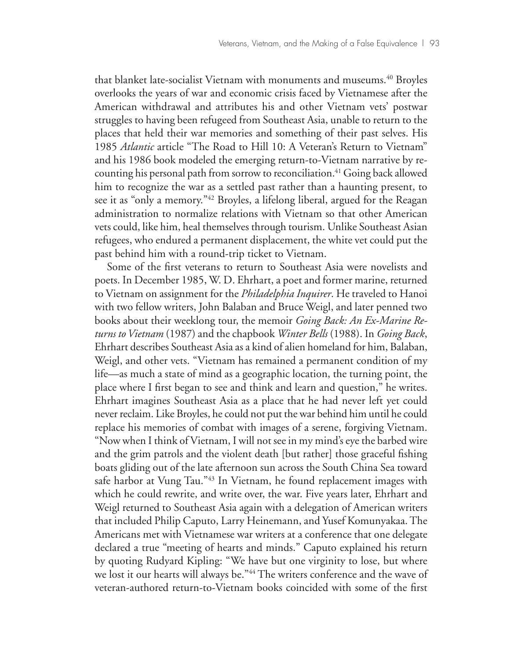that blanket late-socialist Vietnam with monuments and museums.<sup>40</sup> Broyles overlooks the years of war and economic crisis faced by Vietnamese after the American withdrawal and attributes his and other Vietnam vets' postwar struggles to having been refugeed from Southeast Asia, unable to return to the places that held their war memories and something of their past selves. His 1985 *Atlantic* article "The Road to Hill 10: A Veteran's Return to Vietnam" and his 1986 book modeled the emerging return-to-Vietnam narrative by recounting his personal path from sorrow to reconciliation.<sup>41</sup> Going back allowed him to recognize the war as a settled past rather than a haunting present, to see it as "only a memory."<sup>42</sup> Broyles, a lifelong liberal, argued for the Reagan administration to normalize relations with Vietnam so that other American vets could, like him, heal themselves through tourism. Unlike Southeast Asian refugees, who endured a permanent displacement, the white vet could put the past behind him with a round-trip ticket to Vietnam.

Some of the first veterans to return to Southeast Asia were novelists and poets. In December 1985, W. D. Ehrhart, a poet and former marine, returned to Vietnam on assignment for the *Philadelphia Inquirer*. He traveled to Hanoi with two fellow writers, John Balaban and Bruce Weigl, and later penned two books about their weeklong tour, the memoir *Going Back: An Ex-Marine Returns to Vietnam* (1987) and the chapbook *Winter Bells* (1988). In *Going Back*, Ehrhart describes Southeast Asia as a kind of alien homeland for him, Balaban, Weigl, and other vets. "Vietnam has remained a permanent condition of my life—as much a state of mind as a geographic location, the turning point, the place where I first began to see and think and learn and question," he writes. Ehrhart imagines Southeast Asia as a place that he had never left yet could never reclaim. Like Broyles, he could not put the war behind him until he could replace his memories of combat with images of a serene, forgiving Vietnam. "Now when I think of Vietnam, I will not see in my mind's eye the barbed wire and the grim patrols and the violent death [but rather] those graceful fishing boats gliding out of the late afternoon sun across the South China Sea toward safe harbor at Vung Tau."43 In Vietnam, he found replacement images with which he could rewrite, and write over, the war. Five years later, Ehrhart and Weigl returned to Southeast Asia again with a delegation of American writers that included Philip Caputo, Larry Heinemann, and Yusef Komunyakaa. The Americans met with Vietnamese war writers at a conference that one delegate declared a true "meeting of hearts and minds." Caputo explained his return by quoting Rudyard Kipling: "We have but one virginity to lose, but where we lost it our hearts will always be."<sup>44</sup> The writers conference and the wave of veteran-authored return-to-Vietnam books coincided with some of the first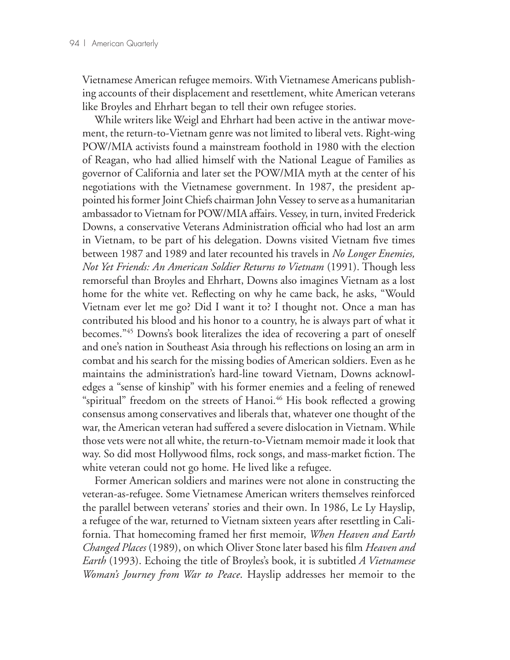Vietnamese American refugee memoirs. With Vietnamese Americans publishing accounts of their displacement and resettlement, white American veterans like Broyles and Ehrhart began to tell their own refugee stories.

While writers like Weigl and Ehrhart had been active in the antiwar movement, the return-to-Vietnam genre was not limited to liberal vets. Right-wing POW/MIA activists found a mainstream foothold in 1980 with the election of Reagan, who had allied himself with the National League of Families as governor of California and later set the POW/MIA myth at the center of his negotiations with the Vietnamese government. In 1987, the president appointed his former Joint Chiefs chairman John Vessey to serve as a humanitarian ambassador to Vietnam for POW/MIA affairs. Vessey, in turn, invited Frederick Downs, a conservative Veterans Administration official who had lost an arm in Vietnam, to be part of his delegation. Downs visited Vietnam five times between 1987 and 1989 and later recounted his travels in *No Longer Enemies, Not Yet Friends: An American Soldier Returns to Vietnam* (1991). Though less remorseful than Broyles and Ehrhart, Downs also imagines Vietnam as a lost home for the white vet. Reflecting on why he came back, he asks, "Would Vietnam ever let me go? Did I want it to? I thought not. Once a man has contributed his blood and his honor to a country, he is always part of what it becomes."45 Downs's book literalizes the idea of recovering a part of oneself and one's nation in Southeast Asia through his reflections on losing an arm in combat and his search for the missing bodies of American soldiers. Even as he maintains the administration's hard-line toward Vietnam, Downs acknowledges a "sense of kinship" with his former enemies and a feeling of renewed "spiritual" freedom on the streets of Hanoi.<sup>46</sup> His book reflected a growing consensus among conservatives and liberals that, whatever one thought of the war, the American veteran had suffered a severe dislocation in Vietnam. While those vets were not all white, the return-to-Vietnam memoir made it look that way. So did most Hollywood films, rock songs, and mass-market fiction. The white veteran could not go home. He lived like a refugee.

Former American soldiers and marines were not alone in constructing the veteran-as-refugee. Some Vietnamese American writers themselves reinforced the parallel between veterans' stories and their own. In 1986, Le Ly Hayslip, a refugee of the war, returned to Vietnam sixteen years after resettling in California. That homecoming framed her first memoir, *When Heaven and Earth Changed Places* (1989), on which Oliver Stone later based his film *Heaven and Earth* (1993). Echoing the title of Broyles's book, it is subtitled *A Vietnamese Woman's Journey from War to Peace*. Hayslip addresses her memoir to the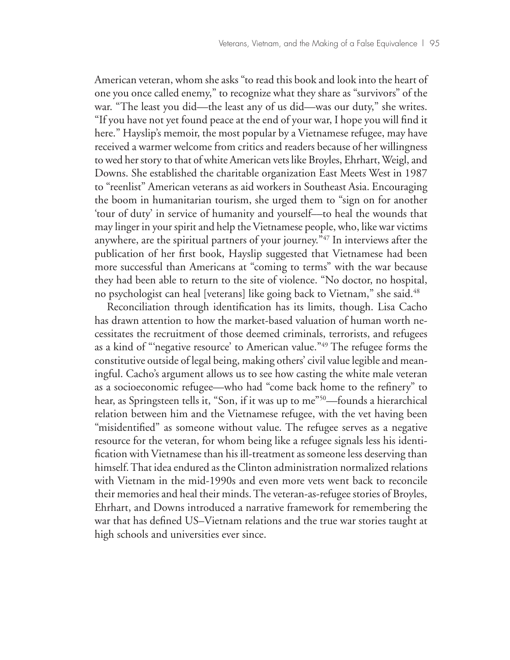American veteran, whom she asks "to read this book and look into the heart of one you once called enemy," to recognize what they share as "survivors" of the war. "The least you did—the least any of us did—was our duty," she writes. "If you have not yet found peace at the end of your war, I hope you will find it here." Hayslip's memoir, the most popular by a Vietnamese refugee, may have received a warmer welcome from critics and readers because of her willingness to wed her story to that of white American vets like Broyles, Ehrhart, Weigl, and Downs. She established the charitable organization East Meets West in 1987 to "reenlist" American veterans as aid workers in Southeast Asia. Encouraging the boom in humanitarian tourism, she urged them to "sign on for another 'tour of duty' in service of humanity and yourself––to heal the wounds that may linger in your spirit and help the Vietnamese people, who, like war victims anywhere, are the spiritual partners of your journey.<sup>"47</sup> In interviews after the publication of her first book, Hayslip suggested that Vietnamese had been more successful than Americans at "coming to terms" with the war because they had been able to return to the site of violence. "No doctor, no hospital, no psychologist can heal [veterans] like going back to Vietnam," she said.<sup>48</sup>

Reconciliation through identification has its limits, though. Lisa Cacho has drawn attention to how the market-based valuation of human worth necessitates the recruitment of those deemed criminals, terrorists, and refugees as a kind of "'negative resource' to American value."49 The refugee forms the constitutive outside of legal being, making others' civil value legible and meaningful. Cacho's argument allows us to see how casting the white male veteran as a socioeconomic refugee—who had "come back home to the refinery" to hear, as Springsteen tells it, "Son, if it was up to me"<sup>50</sup>—founds a hierarchical relation between him and the Vietnamese refugee, with the vet having been "misidentified" as someone without value. The refugee serves as a negative resource for the veteran, for whom being like a refugee signals less his identification with Vietnamese than his ill-treatment as someone less deserving than himself. That idea endured as the Clinton administration normalized relations with Vietnam in the mid-1990s and even more vets went back to reconcile their memories and heal their minds. The veteran-as-refugee stories of Broyles, Ehrhart, and Downs introduced a narrative framework for remembering the war that has defined US–Vietnam relations and the true war stories taught at high schools and universities ever since.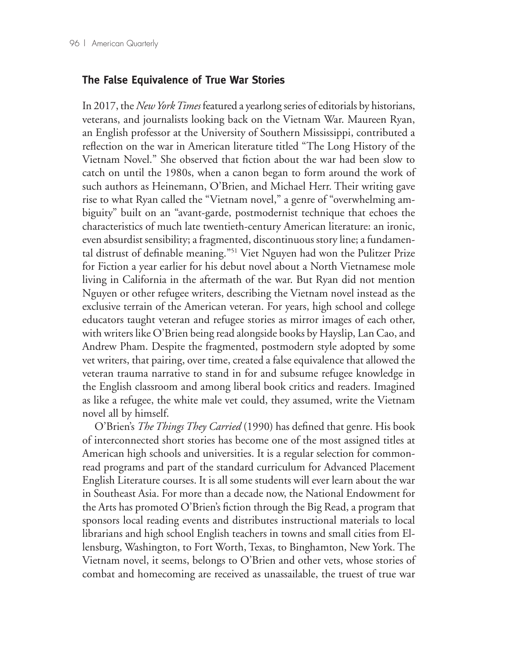#### **The False Equivalence of True War Stories**

In 2017, the *New York Times* featured a yearlong series of editorials by historians, veterans, and journalists looking back on the Vietnam War. Maureen Ryan, an English professor at the University of Southern Mississippi, contributed a reflection on the war in American literature titled "The Long History of the Vietnam Novel." She observed that fiction about the war had been slow to catch on until the 1980s, when a canon began to form around the work of such authors as Heinemann, O'Brien, and Michael Herr. Their writing gave rise to what Ryan called the "Vietnam novel," a genre of "overwhelming ambiguity" built on an "avant-garde, postmodernist technique that echoes the characteristics of much late twentieth-century American literature: an ironic, even absurdist sensibility; a fragmented, discontinuous story line; a fundamental distrust of definable meaning."51 Viet Nguyen had won the Pulitzer Prize for Fiction a year earlier for his debut novel about a North Vietnamese mole living in California in the aftermath of the war. But Ryan did not mention Nguyen or other refugee writers, describing the Vietnam novel instead as the exclusive terrain of the American veteran. For years, high school and college educators taught veteran and refugee stories as mirror images of each other, with writers like O'Brien being read alongside books by Hayslip, Lan Cao, and Andrew Pham. Despite the fragmented, postmodern style adopted by some vet writers, that pairing, over time, created a false equivalence that allowed the veteran trauma narrative to stand in for and subsume refugee knowledge in the English classroom and among liberal book critics and readers. Imagined as like a refugee, the white male vet could, they assumed, write the Vietnam novel all by himself.

O'Brien's *The Things They Carried* (1990) has defined that genre. His book of interconnected short stories has become one of the most assigned titles at American high schools and universities. It is a regular selection for commonread programs and part of the standard curriculum for Advanced Placement English Literature courses. It is all some students will ever learn about the war in Southeast Asia. For more than a decade now, the National Endowment for the Arts has promoted O'Brien's fiction through the Big Read, a program that sponsors local reading events and distributes instructional materials to local librarians and high school English teachers in towns and small cities from Ellensburg, Washington, to Fort Worth, Texas, to Binghamton, New York. The Vietnam novel, it seems, belongs to O'Brien and other vets, whose stories of combat and homecoming are received as unassailable, the truest of true war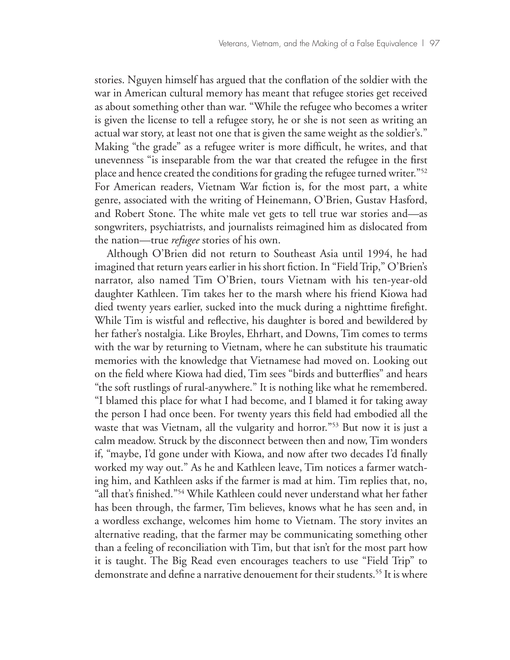stories. Nguyen himself has argued that the conflation of the soldier with the war in American cultural memory has meant that refugee stories get received as about something other than war. "While the refugee who becomes a writer is given the license to tell a refugee story, he or she is not seen as writing an actual war story, at least not one that is given the same weight as the soldier's." Making "the grade" as a refugee writer is more difficult, he writes, and that unevenness "is inseparable from the war that created the refugee in the first place and hence created the conditions for grading the refugee turned writer."52 For American readers, Vietnam War fiction is, for the most part, a white genre, associated with the writing of Heinemann, O'Brien, Gustav Hasford, and Robert Stone. The white male vet gets to tell true war stories and—as songwriters, psychiatrists, and journalists reimagined him as dislocated from the nation—true *refugee* stories of his own.

Although O'Brien did not return to Southeast Asia until 1994, he had imagined that return years earlier in his short fiction. In "Field Trip," O'Brien's narrator, also named Tim O'Brien, tours Vietnam with his ten-year-old daughter Kathleen. Tim takes her to the marsh where his friend Kiowa had died twenty years earlier, sucked into the muck during a nighttime firefight. While Tim is wistful and reflective, his daughter is bored and bewildered by her father's nostalgia. Like Broyles, Ehrhart, and Downs, Tim comes to terms with the war by returning to Vietnam, where he can substitute his traumatic memories with the knowledge that Vietnamese had moved on. Looking out on the field where Kiowa had died, Tim sees "birds and butterflies" and hears "the soft rustlings of rural-anywhere." It is nothing like what he remembered. "I blamed this place for what I had become, and I blamed it for taking away the person I had once been. For twenty years this field had embodied all the waste that was Vietnam, all the vulgarity and horror."<sup>53</sup> But now it is just a calm meadow. Struck by the disconnect between then and now, Tim wonders if, "maybe, I'd gone under with Kiowa, and now after two decades I'd finally worked my way out." As he and Kathleen leave, Tim notices a farmer watching him, and Kathleen asks if the farmer is mad at him. Tim replies that, no, "all that's finished."54 While Kathleen could never understand what her father has been through, the farmer, Tim believes, knows what he has seen and, in a wordless exchange, welcomes him home to Vietnam. The story invites an alternative reading, that the farmer may be communicating something other than a feeling of reconciliation with Tim, but that isn't for the most part how it is taught. The Big Read even encourages teachers to use "Field Trip" to demonstrate and define a narrative denouement for their students.55 It is where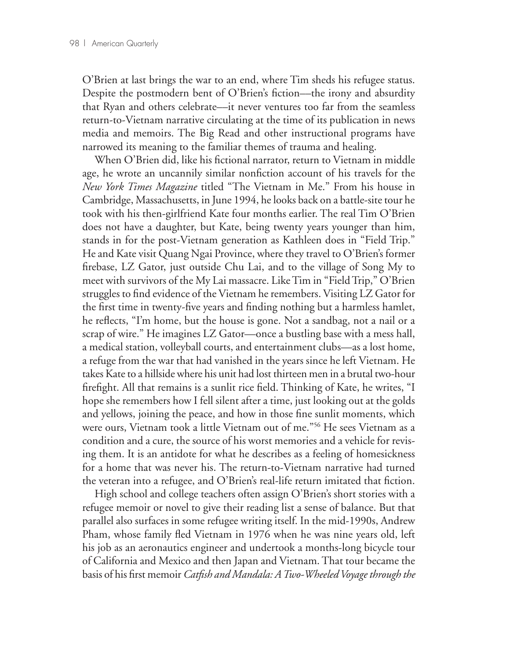O'Brien at last brings the war to an end, where Tim sheds his refugee status. Despite the postmodern bent of O'Brien's fiction—the irony and absurdity that Ryan and others celebrate––it never ventures too far from the seamless return-to-Vietnam narrative circulating at the time of its publication in news media and memoirs. The Big Read and other instructional programs have narrowed its meaning to the familiar themes of trauma and healing.

When O'Brien did, like his fictional narrator, return to Vietnam in middle age, he wrote an uncannily similar nonfiction account of his travels for the *New York Times Magazine* titled "The Vietnam in Me." From his house in Cambridge, Massachusetts, in June 1994, he looks back on a battle-site tour he took with his then-girlfriend Kate four months earlier. The real Tim O'Brien does not have a daughter, but Kate, being twenty years younger than him, stands in for the post-Vietnam generation as Kathleen does in "Field Trip." He and Kate visit Quang Ngai Province, where they travel to O'Brien's former firebase, LZ Gator, just outside Chu Lai, and to the village of Song My to meet with survivors of the My Lai massacre. Like Tim in "Field Trip," O'Brien struggles to find evidence of the Vietnam he remembers. Visiting LZ Gator for the first time in twenty-five years and finding nothing but a harmless hamlet, he reflects, "I'm home, but the house is gone. Not a sandbag, not a nail or a scrap of wire." He imagines LZ Gator—once a bustling base with a mess hall, a medical station, volleyball courts, and entertainment clubs—as a lost home, a refuge from the war that had vanished in the years since he left Vietnam. He takes Kate to a hillside where his unit had lost thirteen men in a brutal two-hour firefight. All that remains is a sunlit rice field. Thinking of Kate, he writes, "I hope she remembers how I fell silent after a time, just looking out at the golds and yellows, joining the peace, and how in those fine sunlit moments, which were ours, Vietnam took a little Vietnam out of me."56 He sees Vietnam as a condition and a cure, the source of his worst memories and a vehicle for revising them. It is an antidote for what he describes as a feeling of homesickness for a home that was never his. The return-to-Vietnam narrative had turned the veteran into a refugee, and O'Brien's real-life return imitated that fiction.

High school and college teachers often assign O'Brien's short stories with a refugee memoir or novel to give their reading list a sense of balance. But that parallel also surfaces in some refugee writing itself. In the mid-1990s, Andrew Pham, whose family fled Vietnam in 1976 when he was nine years old, left his job as an aeronautics engineer and undertook a months-long bicycle tour of California and Mexico and then Japan and Vietnam. That tour became the basis of his first memoir *Catfish and Mandala: A Two-Wheeled Voyage through the*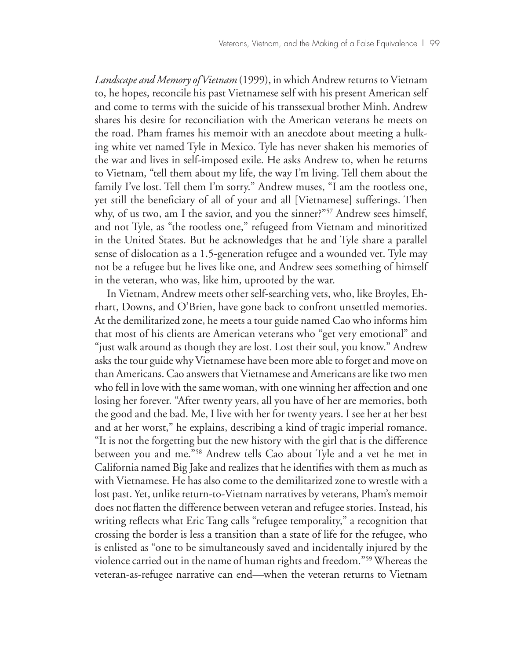*Landscape and Memory of Vietnam* (1999), in which Andrew returns to Vietnam to, he hopes, reconcile his past Vietnamese self with his present American self and come to terms with the suicide of his transsexual brother Minh. Andrew shares his desire for reconciliation with the American veterans he meets on the road. Pham frames his memoir with an anecdote about meeting a hulking white vet named Tyle in Mexico. Tyle has never shaken his memories of the war and lives in self-imposed exile. He asks Andrew to, when he returns to Vietnam, "tell them about my life, the way I'm living. Tell them about the family I've lost. Tell them I'm sorry." Andrew muses, "I am the rootless one, yet still the beneficiary of all of your and all [Vietnamese] sufferings. Then why, of us two, am I the savior, and you the sinner?"<sup>57</sup> Andrew sees himself, and not Tyle, as "the rootless one," refugeed from Vietnam and minoritized in the United States. But he acknowledges that he and Tyle share a parallel sense of dislocation as a 1.5-generation refugee and a wounded vet. Tyle may not be a refugee but he lives like one, and Andrew sees something of himself in the veteran, who was, like him, uprooted by the war.

In Vietnam, Andrew meets other self-searching vets, who, like Broyles, Ehrhart, Downs, and O'Brien, have gone back to confront unsettled memories. At the demilitarized zone, he meets a tour guide named Cao who informs him that most of his clients are American veterans who "get very emotional" and "just walk around as though they are lost. Lost their soul, you know." Andrew asks the tour guide why Vietnamese have been more able to forget and move on than Americans. Cao answers that Vietnamese and Americans are like two men who fell in love with the same woman, with one winning her affection and one losing her forever. "After twenty years, all you have of her are memories, both the good and the bad. Me, I live with her for twenty years. I see her at her best and at her worst," he explains, describing a kind of tragic imperial romance. "It is not the forgetting but the new history with the girl that is the difference between you and me."58 Andrew tells Cao about Tyle and a vet he met in California named Big Jake and realizes that he identifies with them as much as with Vietnamese. He has also come to the demilitarized zone to wrestle with a lost past. Yet, unlike return-to-Vietnam narratives by veterans, Pham's memoir does not flatten the difference between veteran and refugee stories. Instead, his writing reflects what Eric Tang calls "refugee temporality," a recognition that crossing the border is less a transition than a state of life for the refugee, who is enlisted as "one to be simultaneously saved and incidentally injured by the violence carried out in the name of human rights and freedom."59 Whereas the veteran-as-refugee narrative can end—when the veteran returns to Vietnam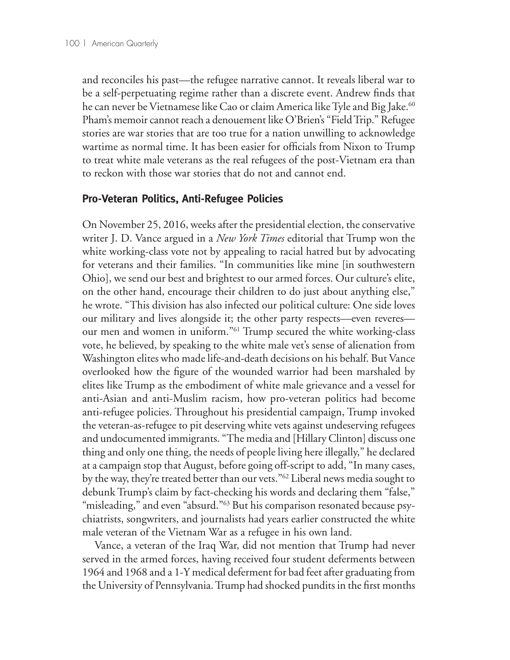and reconciles his past––the refugee narrative cannot. It reveals liberal war to be a self-perpetuating regime rather than a discrete event. Andrew finds that he can never be Vietnamese like Cao or claim America like Tyle and Big Jake.<sup>60</sup> Pham's memoir cannot reach a denouement like O'Brien's "Field Trip." Refugee stories are war stories that are too true for a nation unwilling to acknowledge wartime as normal time. It has been easier for officials from Nixon to Trump to treat white male veterans as the real refugees of the post-Vietnam era than to reckon with those war stories that do not and cannot end.

### **Pro-Veteran Politics, Anti-Refugee Policies**

On November 25, 2016, weeks after the presidential election, the conservative writer J. D. Vance argued in a *New York Times* editorial that Trump won the white working-class vote not by appealing to racial hatred but by advocating for veterans and their families. "In communities like mine [in southwestern Ohio], we send our best and brightest to our armed forces. Our culture's elite, on the other hand, encourage their children to do just about anything else," he wrote. "This division has also infected our political culture: One side loves our military and lives alongside it; the other party respects––even reveres–– our men and women in uniform."61 Trump secured the white working-class vote, he believed, by speaking to the white male vet's sense of alienation from Washington elites who made life-and-death decisions on his behalf. But Vance overlooked how the figure of the wounded warrior had been marshaled by elites like Trump as the embodiment of white male grievance and a vessel for anti-Asian and anti-Muslim racism, how pro-veteran politics had become anti-refugee policies. Throughout his presidential campaign, Trump invoked the veteran-as-refugee to pit deserving white vets against undeserving refugees and undocumented immigrants. "The media and [Hillary Clinton] discuss one thing and only one thing, the needs of people living here illegally," he declared at a campaign stop that August, before going off-script to add, "In many cases, by the way, they're treated better than our vets."62 Liberal news media sought to debunk Trump's claim by fact-checking his words and declaring them "false," "misleading," and even "absurd."<sup>63</sup> But his comparison resonated because psychiatrists, songwriters, and journalists had years earlier constructed the white male veteran of the Vietnam War as a refugee in his own land.

Vance, a veteran of the Iraq War, did not mention that Trump had never served in the armed forces, having received four student deferments between 1964 and 1968 and a 1-Y medical deferment for bad feet after graduating from the University of Pennsylvania. Trump had shocked pundits in the first months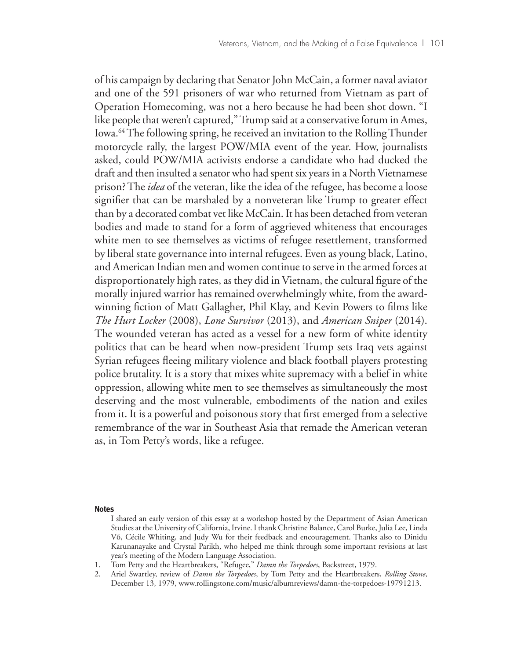of his campaign by declaring that Senator John McCain, a former naval aviator and one of the 591 prisoners of war who returned from Vietnam as part of Operation Homecoming, was not a hero because he had been shot down. "I like people that weren't captured," Trump said at a conservative forum in Ames, Iowa.64 The following spring, he received an invitation to the Rolling Thunder motorcycle rally, the largest POW/MIA event of the year. How, journalists asked, could POW/MIA activists endorse a candidate who had ducked the draft and then insulted a senator who had spent six years in a North Vietnamese prison? The *idea* of the veteran, like the idea of the refugee, has become a loose signifier that can be marshaled by a nonveteran like Trump to greater effect than by a decorated combat vet like McCain. It has been detached from veteran bodies and made to stand for a form of aggrieved whiteness that encourages white men to see themselves as victims of refugee resettlement, transformed by liberal state governance into internal refugees. Even as young black, Latino, and American Indian men and women continue to serve in the armed forces at disproportionately high rates, as they did in Vietnam, the cultural figure of the morally injured warrior has remained overwhelmingly white, from the awardwinning fiction of Matt Gallagher, Phil Klay, and Kevin Powers to films like *The Hurt Locker* (2008), *Lone Survivor* (2013), and *American Sniper* (2014). The wounded veteran has acted as a vessel for a new form of white identity politics that can be heard when now-president Trump sets Iraq vets against Syrian refugees fleeing military violence and black football players protesting police brutality. It is a story that mixes white supremacy with a belief in white oppression, allowing white men to see themselves as simultaneously the most deserving and the most vulnerable, embodiments of the nation and exiles from it. It is a powerful and poisonous story that first emerged from a selective remembrance of the war in Southeast Asia that remade the American veteran as, in Tom Petty's words, like a refugee.

#### **Notes**

- 1. Tom Petty and the Heartbreakers, "Refugee," *Damn the Torpedoes*, Backstreet, 1979.
- 2. Ariel Swartley, review of *Damn the Torpedoes*, by Tom Petty and the Heartbreakers, *Rolling Stone*, December 13, 1979, www.rollingstone.com/music/albumreviews/damn-the-torpedoes-19791213.

I shared an early version of this essay at a workshop hosted by the Department of Asian American Studies at the University of California, Irvine. I thank Christine Balance, Carol Burke, Julia Lee, Linda Võ, Cécile Whiting, and Judy Wu for their feedback and encouragement. Thanks also to Dinidu Karunanayake and Crystal Parikh, who helped me think through some important revisions at last year's meeting of the Modern Language Association.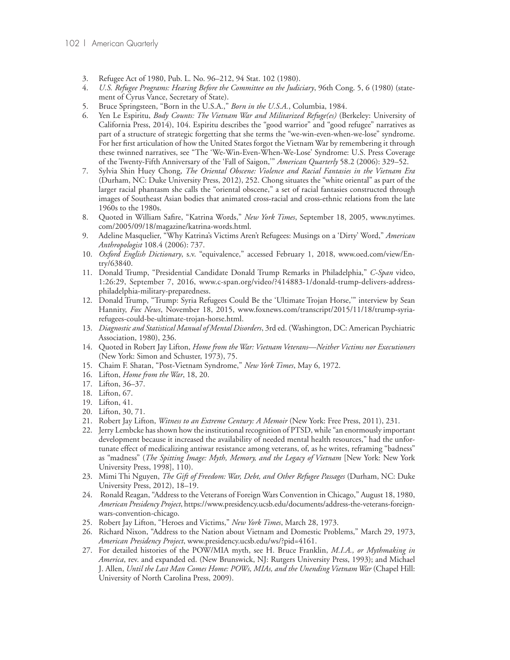- 3. Refugee Act of 1980, Pub. L. No. 96–212, 94 Stat. 102 (1980).
- 4. *U.S. Refugee Programs: Hearing Before the Committee on the Judiciary*, 96th Cong. 5, 6 (1980) (statement of Cyrus Vance, Secretary of State).
- 5. Bruce Springsteen, "Born in the U.S.A.," *Born in the U.S.A.*, Columbia, 1984.
- 6. Yen Le Espiritu, *Body Counts: The Vietnam War and Militarized Refuge(es)* (Berkeley: University of California Press, 2014), 104. Espiritu describes the "good warrior" and "good refugee" narratives as part of a structure of strategic forgetting that she terms the "we-win-even-when-we-lose" syndrome. For her first articulation of how the United States forgot the Vietnam War by remembering it through these twinned narratives, see "The 'We-Win-Even-When-We-Lose' Syndrome: U.S. Press Coverage of the Twenty-Fifth Anniversary of the 'Fall of Saigon,'" *American Quarterly* 58.2 (2006): 329–52.
- 7. Sylvia Shin Huey Chong, *The Oriental Obscene: Violence and Racial Fantasies in the Vietnam Era* (Durham, NC: Duke University Press, 2012), 252. Chong situates the "white oriental" as part of the larger racial phantasm she calls the "oriental obscene," a set of racial fantasies constructed through images of Southeast Asian bodies that animated cross-racial and cross-ethnic relations from the late 1960s to the 1980s.
- 8. Quoted in William Safire, "Katrina Words," *New York Times*, September 18, 2005, www.nytimes. com/2005/09/18/magazine/katrina-words.html.
- 9. Adeline Masquelier, "Why Katrina's Victims Aren't Refugees: Musings on a 'Dirty' Word," *American Anthropologist* 108.4 (2006): 737.
- 10. *Oxford English Dictionary*, s.v. "equivalence," accessed February 1, 2018, www.oed.com/view/Entry/63840.
- 11. Donald Trump, "Presidential Candidate Donald Trump Remarks in Philadelphia," *C-Span* video, 1:26:29, September 7, 2016, www.c-span.org/video/?414883-1/donald-trump-delivers-addressphiladelphia-military-preparedness.
- 12. Donald Trump, "Trump: Syria Refugees Could Be the 'Ultimate Trojan Horse,'" interview by Sean Hannity, *Fox News*, November 18, 2015, www.foxnews.com/transcript/2015/11/18/trump-syriarefugees-could-be-ultimate-trojan-horse.html.
- 13. *Diagnostic and Statistical Manual of Mental Disorders*, 3rd ed. (Washington, DC: American Psychiatric Association, 1980), 236.
- 14. Quoted in Robert Jay Lifton, *Home from the War: Vietnam Veterans—Neither Victims nor Executioners* (New York: Simon and Schuster, 1973), 75.
- 15. Chaim F. Shatan, "Post-Vietnam Syndrome," *New York Times*, May 6, 1972.
- 16. Lifton, *Home from the War*, 18, 20.
- 17. Lifton, 36–37.
- 18. Lifton, 67.
- 19. Lifton, 41.
- 20. Lifton, 30, 71.
- 21. Robert Jay Lifton, *Witness to an Extreme Century: A Memoir* (New York: Free Press, 2011), 231.
- 22. Jerry Lembcke has shown how the institutional recognition of PTSD, while "an enormously important development because it increased the availability of needed mental health resources," had the unfortunate effect of medicalizing antiwar resistance among veterans, of, as he writes, reframing "badness" as "madness" (*The Spitting Image: Myth, Memory, and the Legacy of Vietnam* [New York: New York University Press, 1998], 110).
- 23. Mimi Thi Nguyen, *The Gift of Freedom: War, Debt, and Other Refugee Passages* (Durham, NC: Duke University Press, 2012), 18–19.
- 24. Ronald Reagan, "Address to the Veterans of Foreign Wars Convention in Chicago," August 18, 1980, *American Presidency Project*, https://www.presidency.ucsb.edu/documents/address-the-veterans-foreignwars-convention-chicago.
- 25. Robert Jay Lifton, "Heroes and Victims," *New York Times*, March 28, 1973.
- 26. Richard Nixon, "Address to the Nation about Vietnam and Domestic Problems," March 29, 1973, *American Presidency Project*, www.presidency.ucsb.edu/ws/?pid=4161.
- 27. For detailed histories of the POW/MIA myth, see H. Bruce Franklin, *M.I.A., or Mythmaking in America*, rev. and expanded ed. (New Brunswick, NJ: Rutgers University Press, 1993); and Michael J. Allen, *Until the Last Man Comes Home: POWs, MIAs, and the Unending Vietnam War* (Chapel Hill: University of North Carolina Press, 2009).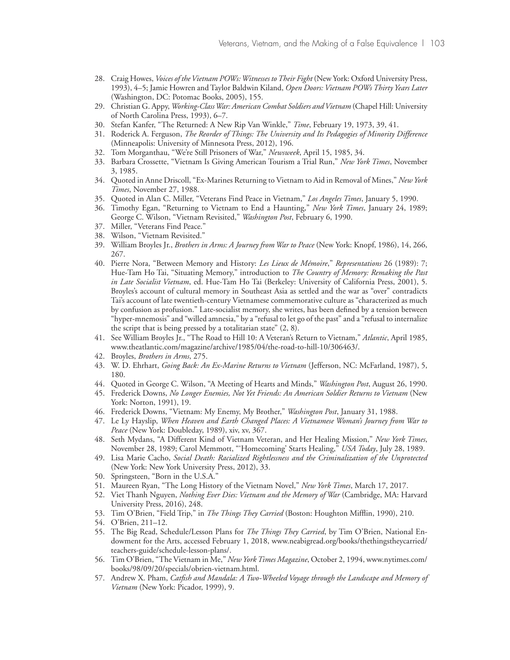- 28. Craig Howes, *Voices of the Vietnam POWs: Witnesses to Their Fight* (New York: Oxford University Press, 1993), 4–5; Jamie Howren and Taylor Baldwin Kiland, *Open Doors: Vietnam POWs Thirty Years Later* (Washington, DC: Potomac Books, 2005), 155.
- 29. Christian G. Appy, *Working-Class War: American Combat Soldiers and Vietnam* (Chapel Hill: University of North Carolina Press, 1993), 6–7.
- 30. Stefan Kanfer, "The Returned: A New Rip Van Winkle," *Time*, February 19, 1973, 39, 41.
- 31. Roderick A. Ferguson, *The Reorder of Things: The University and Its Pedagogies of Minority Difference* (Minneapolis: University of Minnesota Press, 2012), 196.
- 32. Tom Morganthau, "We're Still Prisoners of War," *Newsweek*, April 15, 1985, 34.
- 33. Barbara Crossette, "Vietnam Is Giving American Tourism a Trial Run," *New York Times*, November 3, 1985.
- 34. Quoted in Anne Driscoll, "Ex-Marines Returning to Vietnam to Aid in Removal of Mines," *New York Times*, November 27, 1988.
- 35. Quoted in Alan C. Miller, "Veterans Find Peace in Vietnam," *Los Angeles Times*, January 5, 1990.
- 36. Timothy Egan, "Returning to Vietnam to End a Haunting," *New York Times*, January 24, 1989; George C. Wilson, "Vietnam Revisited," *Washington Post*, February 6, 1990.
- 37. Miller, "Veterans Find Peace."
- 38. Wilson, "Vietnam Revisited."
- 39. William Broyles Jr., *Brothers in Arms: A Journey from War to Peace* (New York: Knopf, 1986), 14, 266, 267.
- 40. Pierre Nora, "Between Memory and History: *Les Lieux de Mémoire*," *Representations* 26 (1989): 7; Hue-Tam Ho Tai, "Situating Memory," introduction to *The Country of Memory: Remaking the Past in Late Socialist Vietnam*, ed. Hue-Tam Ho Tai (Berkeley: University of California Press, 2001), 5. Broyles's account of cultural memory in Southeast Asia as settled and the war as "over" contradicts Tai's account of late twentieth-century Vietnamese commemorative culture as "characterized as much by confusion as profusion." Late-socialist memory, she writes, has been defined by a tension between "hyper-mnemosis" and "willed amnesia," by a "refusal to let go of the past" and a "refusal to internalize the script that is being pressed by a totalitarian state" (2, 8).
- 41. See William Broyles Jr., "The Road to Hill 10: A Veteran's Return to Vietnam," *Atlantic*, April 1985, www.theatlantic.com/magazine/archive/1985/04/the-road-to-hill-10/306463/.
- 42. Broyles, *Brothers in Arms*, 275.
- 43. W. D. Ehrhart, *Going Back: An Ex-Marine Returns to Vietnam* (Jefferson, NC: McFarland, 1987), 5, 180.
- 44. Quoted in George C. Wilson, "A Meeting of Hearts and Minds," *Washington Post*, August 26, 1990.
- 45. Frederick Downs, *No Longer Enemies, Not Yet Friends: An American Soldier Returns to Vietnam* (New York: Norton, 1991), 19.
- 46. Frederick Downs, "Vietnam: My Enemy, My Brother," *Washington Post*, January 31, 1988.
- 47. Le Ly Hayslip, *When Heaven and Earth Changed Places: A Vietnamese Woman's Journey from War to Peace* (New York: Doubleday, 1989), xiv, xv, 367.
- 48. Seth Mydans, "A Different Kind of Vietnam Veteran, and Her Healing Mission," *New York Times*, November 28, 1989; Carol Memmott, "'Homecoming' Starts Healing," *USA Today*, July 28, 1989.
- 49. Lisa Marie Cacho, *Social Death: Racialized Rightlessness and the Criminalization of the Unprotected* (New York: New York University Press, 2012), 33.
- 50. Springsteen, "Born in the U.S.A."
- 51. Maureen Ryan, "The Long History of the Vietnam Novel," *New York Times*, March 17, 2017.
- 52. Viet Thanh Nguyen, *Nothing Ever Dies: Vietnam and the Memory of War* (Cambridge, MA: Harvard University Press, 2016), 248.
- 53. Tim O'Brien, "Field Trip," in *The Things They Carried* (Boston: Houghton Mifflin, 1990), 210.
- 54. O'Brien, 211–12.
- 55. The Big Read, Schedule/Lesson Plans for *The Things They Carried*, by Tim O'Brien, National Endowment for the Arts, accessed February 1, 2018, www.neabigread.org/books/thethingstheycarried/ teachers-guide/schedule-lesson-plans/.
- 56. Tim O'Brien, "The Vietnam in Me," *New York Times Magazine*, October 2, 1994, www.nytimes.com/ books/98/09/20/specials/obrien-vietnam.html.
- 57. Andrew X. Pham, *Catfish and Mandala: A Two-Wheeled Voyage through the Landscape and Memory of Vietnam* (New York: Picador, 1999), 9.